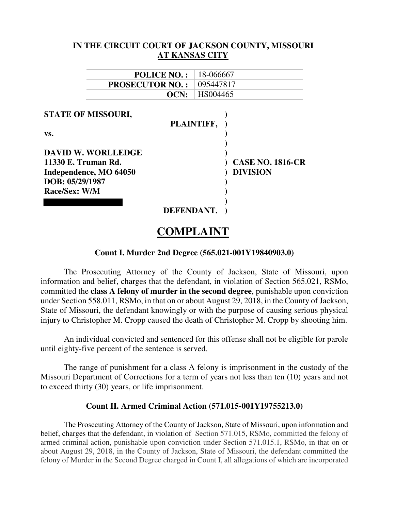| IN THE CIRCUIT COURT OF JACKSON COUNTY, MISSOURI |            |                       |                         |
|--------------------------------------------------|------------|-----------------------|-------------------------|
|                                                  |            | <b>AT KANSAS CITY</b> |                         |
|                                                  |            |                       |                         |
| <b>POLICE NO.:</b>                               |            | 18-066667             |                         |
| <b>PROSECUTOR NO.:</b>                           |            | 095447817             |                         |
|                                                  | OCN:       | HS004465              |                         |
|                                                  |            |                       |                         |
| <b>STATE OF MISSOURI,</b>                        |            |                       |                         |
|                                                  | PLAINTIFF, |                       |                         |
| VS.                                              |            |                       |                         |
|                                                  |            |                       |                         |
| <b>DAVID W. WORLLEDGE</b>                        |            |                       |                         |
| 11330 E. Truman Rd.                              |            |                       | <b>CASE NO. 1816-CR</b> |
| Independence, MO 64050                           |            |                       | <b>DIVISION</b>         |
| DOB: 05/29/1987                                  |            |                       |                         |
| Race/Sex: W/M                                    |            |                       |                         |
|                                                  |            |                       |                         |
|                                                  | DEFENDANT. |                       |                         |
|                                                  |            |                       |                         |

# **COMPLAINT**

# **Count I. Murder 2nd Degree (565.021-001Y19840903.0)**

The Prosecuting Attorney of the County of Jackson, State of Missouri, upon information and belief, charges that the defendant, in violation of Section 565.021, RSMo, committed the **class A felony of murder in the second degree**, punishable upon conviction under Section 558.011, RSMo, in that on or about August 29, 2018, in the County of Jackson, State of Missouri, the defendant knowingly or with the purpose of causing serious physical injury to Christopher M. Cropp caused the death of Christopher M. Cropp by shooting him.

An individual convicted and sentenced for this offense shall not be eligible for parole until eighty-five percent of the sentence is served.

The range of punishment for a class A felony is imprisonment in the custody of the Missouri Department of Corrections for a term of years not less than ten (10) years and not to exceed thirty (30) years, or life imprisonment.

### **Count II. Armed Criminal Action (571.015-001Y19755213.0)**

The Prosecuting Attorney of the County of Jackson, State of Missouri, upon information and belief, charges that the defendant, in violation of Section 571.015, RSMo, committed the felony of armed criminal action, punishable upon conviction under Section 571.015.1, RSMo, in that on or about August 29, 2018, in the County of Jackson, State of Missouri, the defendant committed the felony of Murder in the Second Degree charged in Count I, all allegations of which are incorporated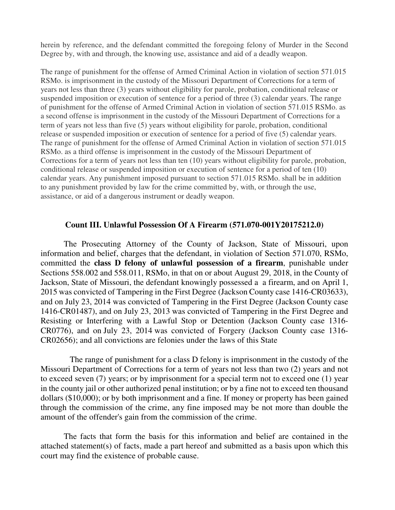herein by reference, and the defendant committed the foregoing felony of Murder in the Second Degree by, with and through, the knowing use, assistance and aid of a deadly weapon.

The range of punishment for the offense of Armed Criminal Action in violation of section 571.015 RSMo. is imprisonment in the custody of the Missouri Department of Corrections for a term of years not less than three (3) years without eligibility for parole, probation, conditional release or suspended imposition or execution of sentence for a period of three (3) calendar years. The range of punishment for the offense of Armed Criminal Action in violation of section 571.015 RSMo. as a second offense is imprisonment in the custody of the Missouri Department of Corrections for a term of years not less than five (5) years without eligibility for parole, probation, conditional release or suspended imposition or execution of sentence for a period of five (5) calendar years. The range of punishment for the offense of Armed Criminal Action in violation of section 571.015 RSMo. as a third offense is imprisonment in the custody of the Missouri Department of Corrections for a term of years not less than ten (10) years without eligibility for parole, probation, conditional release or suspended imposition or execution of sentence for a period of ten (10) calendar years. Any punishment imposed pursuant to section 571.015 RSMo. shall be in addition to any punishment provided by law for the crime committed by, with, or through the use, assistance, or aid of a dangerous instrument or deadly weapon.

# **Count III. Unlawful Possession Of A Firearm (571.070-001Y20175212.0)**

The Prosecuting Attorney of the County of Jackson, State of Missouri, upon information and belief, charges that the defendant, in violation of Section 571.070, RSMo, committed the **class D felony of unlawful possession of a firearm**, punishable under Sections 558.002 and 558.011, RSMo, in that on or about August 29, 2018, in the County of Jackson, State of Missouri, the defendant knowingly possessed a a firearm, and on April 1, 2015 was convicted of Tampering in the First Degree (Jackson County case 1416-CR03633), and on July 23, 2014 was convicted of Tampering in the First Degree (Jackson County case 1416-CR01487), and on July 23, 2013 was convicted of Tampering in the First Degree and Resisting or Interfering with a Lawful Stop or Detention (Jackson County case 1316- CR0776), and on July 23, 2014 was convicted of Forgery (Jackson County case 1316- CR02656); and all convictions are felonies under the laws of this State

 The range of punishment for a class D felony is imprisonment in the custody of the Missouri Department of Corrections for a term of years not less than two (2) years and not to exceed seven (7) years; or by imprisonment for a special term not to exceed one (1) year in the county jail or other authorized penal institution; or by a fine not to exceed ten thousand dollars (\$10,000); or by both imprisonment and a fine. If money or property has been gained through the commission of the crime, any fine imposed may be not more than double the amount of the offender's gain from the commission of the crime.

The facts that form the basis for this information and belief are contained in the attached statement(s) of facts, made a part hereof and submitted as a basis upon which this court may find the existence of probable cause.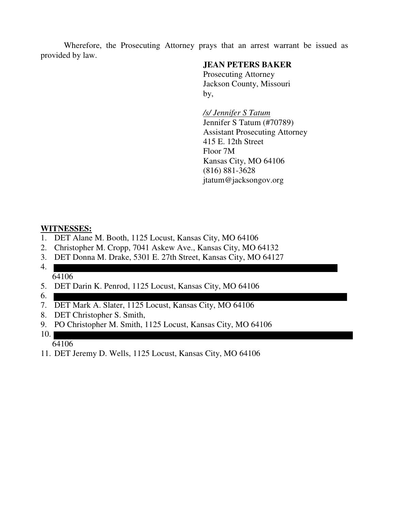Wherefore, the Prosecuting Attorney prays that an arrest warrant be issued as provided by law.

# **JEAN PETERS BAKER**

 Prosecuting Attorney Jackson County, Missouri by,

> */s/ Jennifer S Tatum*  Jennifer S Tatum (#70789) Assistant Prosecuting Attorney 415 E. 12th Street Floor 7M Kansas City, MO 64106 (816) 881-3628 jtatum@jacksongov.org

# **WITNESSES:**

- 1. DET Alane M. Booth, 1125 Locust, Kansas City, MO 64106
- 2. Christopher M. Cropp, 7041 Askew Ave., Kansas City, MO 64132
- 3. DET Donna M. Drake, 5301 E. 27th Street, Kansas City, MO 64127
- 4. 64106
- 5. DET Darin K. Penrod, 1125 Locust, Kansas City, MO 64106
- 6.
- 7. DET Mark A. Slater, 1125 Locust, Kansas City, MO 64106
- 8. DET Christopher S. Smith,
- 9. PO Christopher M. Smith, 1125 Locust, Kansas City, MO 64106
- 10. 64106
- 11. DET Jeremy D. Wells, 1125 Locust, Kansas City, MO 64106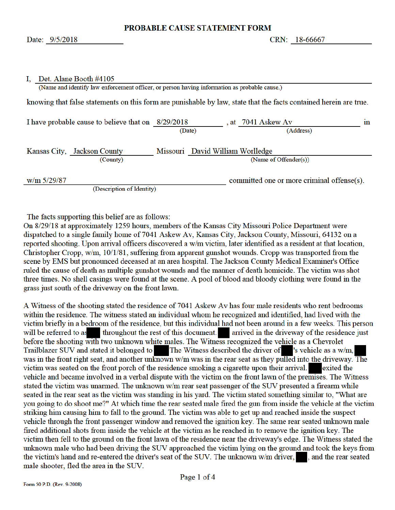committed one or more criminal offense(s).

#### I. Det. Alane Booth #4105

(Name and identify law enforcement officer, or person having information as probable cause.)

knowing that false statements on this form are punishable by law, state that the facts contained herein are true.

| I have probable cause to believe that on $8/29/2018$ |                                  | at 7041 Askew Av      | ın |
|------------------------------------------------------|----------------------------------|-----------------------|----|
|                                                      | (Date)                           | (Address)             |    |
| Kansas City, Jackson County                          | Missouri David William Worlledge |                       |    |
| (County)                                             |                                  | (Name of Offender(s)) |    |

 $w/m$  5/29/87

(Description of Identity)

The facts supporting this belief are as follows:

On 8/29/18 at approximately 1259 hours, members of the Kansas City Missouri Police Department were dispatched to a single family home of 7041 Askew Av, Kansas City, Jackson County, Missouri, 64132 on a reported shooting. Upon arrival officers discovered a w/m victim, later identified as a resident at that location, Christopher Cropp, w/m, 10/1/81, suffering from apparent gunshot wounds. Cropp was transported from the scene by EMS but pronounced deceased at an area hospital. The Jackson County Medical Examiner's Office ruled the cause of death as multiple gunshot wounds and the manner of death homicide. The victim was shot three times. No shell casings were found at the scene. A pool of blood and bloody clothing were found in the grass just south of the driveway on the front lawn.

A Witness of the shooting stated the residence of 7041 Askew Av has four male residents who rent bedrooms within the residence. The witness stated an individual whom he recognized and identified, had lived with the victim briefly in a bedroom of the residence, but this individual had not been around in a few weeks. This person will be referred to as throughout the rest of this document. arrived in the driveway of the residence just before the shooting with two unknown white males. The Witness recognized the vehicle as a Chevrolet Trailblazer SUV and stated it belonged to The Witness described the driver of 's vehicle as a w/m, was in the front right seat, and another unknown w/m was in the rear seat as they pulled into the driveway. The victim was seated on the front porch of the residence smoking a cigarette upon their arrival. exited the vehicle and became involved in a verbal dispute with the victim on the front lawn of the premises. The Witness stated the victim was unarmed. The unknown w/m rear seat passenger of the SUV presented a firearm while seated in the rear seat as the victim was standing in his yard. The victim stated something similar to, "What are you going to do shoot me?" At which time the rear seated male fired the gun from inside the vehicle at the victim striking him causing him to fall to the ground. The victim was able to get up and reached inside the suspect vehicle through the front passenger window and removed the ignition key. The same rear seated unknown male fired additional shots from inside the vehicle at the victim as he reached in to remove the ignition key. The victim then fell to the ground on the front lawn of the residence near the driveway's edge. The Witness stated the unknown male who had been driving the SUV approached the victim lying on the ground and took the keys from the victim's hand and re-entered the driver's seat of the SUV. The unknown w/m driver, and the rear seated male shooter, fled the area in the SUV.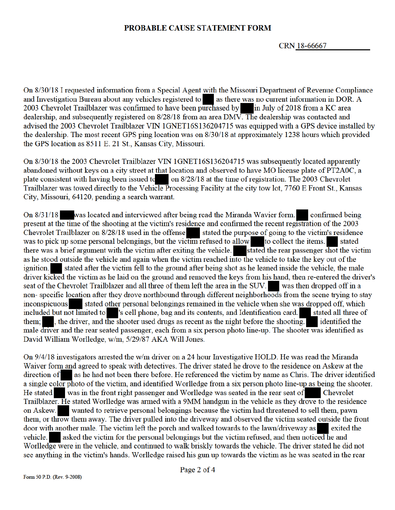### PROBABLE CAUSE STATEMENT FORM

CRN 18-66667

On 8/30/18 I requested information from a Special Agent with the Missouri Department of Revenue Compliance as there was no current information in DOR. A and Investigation Bureau about any vehicles registered to 2003 Chevrolet Trailblazer was confirmed to have been purchased by in July of 2018 from a KC area dealership, and subsequently registered on 8/28/18 from an area DMV. The dealership was contacted and advised the 2003 Chevrolet Trailblazer VIN 1GNET16S136204715 was equipped with a GPS device installed by the dealership. The most recent GPS ping location was on 8/30/18 at approximately 1238 hours which provided the GPS location as 8511 E. 21 St., Kansas City, Missouri.

On 8/30/18 the 2003 Chevrolet Trailblazer VIN 1GNET16S136204715 was subsequently located apparently abandoned without keys on a city street at that location and observed to have MO license plate of PT2A0C, a on 8/28/18 at the time of registration. The 2003 Chevrolet plate consistent with having been issued to Trailblazer was towed directly to the Vehicle Processing Facility at the city tow lot, 7760 E Front St., Kansas City, Missouri, 64120, pending a search warrant.

confirmed being On 8/31/18 was located and interviewed after being read the Miranda Wavier form. present at the time of the shooting at the victim's residence and confirmed the recent registration of the 2003 Chevrolet Trailblazer on 8/28/18 used in the offense stated the purpose of going to the victim's residence was to pick up some personal belongings, but the victim refused to allow to collect the items. stated there was a brief argument with the victim after exiting the vehicle. Stated the rear passenger shot the victim as he stood outside the vehicle and again when the victim reached into the vehicle to take the key out of the stated after the victim fell to the ground after being shot as he leaned inside the vehicle, the male *ignition.* driver kicked the victim as he laid on the ground and removed the keys from his hand, then re-entered the driver's seat of the Chevrolet Trailblazer and all three of them left the area in the SUV. was then dropped off in a non-specific location after they drove northbound through different neighborhoods from the scene trying to stay inconspicuous stated other personal belongings remained in the vehicle when she was dropped off, which included but not limited to vs cell phone, bag and its contents, and Identification card. stated all three of , the driver, and the shooter used drugs as recent as the night before the shooting. them: identified the male driver and the rear seated passenger, each from a six person photo line-up. The shooter was identified as David William Worlledge, w/m, 5/29/87 AKA Will Jones.

On 9/4/18 investigators arrested the w/m driver on a 24 hour Investigative HOLD. He was read the Miranda Waiver form and agreed to speak with detectives. The driver stated he drove to the residence on Askew at the direction of as he had not been there before. He referenced the victim by name as Chris. The driver identified a single color photo of the victim, and identified Worlledge from a six person photo line-up as being the shooter. He stated was in the front right passenger and Worlledge was seated in the rear seat of Chevrolet Trailblazer. He stated Worlledge was armed with a 9MM handgun in the vehicle as they drove to the residence wanted to retrieve personal belongings because the victim had threatened to sell them, pawn on Askew. them, or throw them away. The driver pulled into the driveway and observed the victim seated outside the front door with another male. The victim left the porch and walked towards to the lawn/driveway as exited the asked the victim for the personal belongings but the victim refused, and then noticed he and vehicle. Worlledge were in the vehicle, and continued to walk briskly towards the vehicle. The driver stated he did not see anything in the victim's hands. Worlledge raised his gun up towards the victim as he was seated in the rear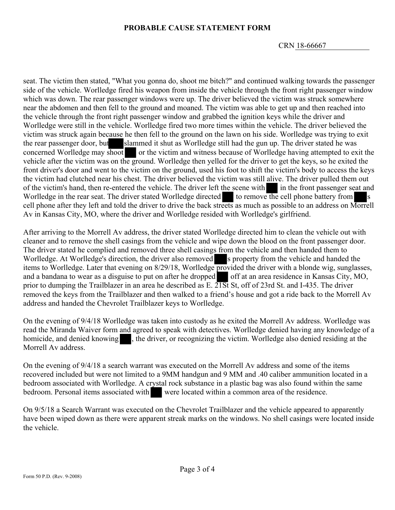# **PROBABLE CAUSE STATEMENT FORM**

CRN 18-66667

seat. The victim then stated, "What you gonna do, shoot me bitch?" and continued walking towards the passenger side of the vehicle. Worlledge fired his weapon from inside the vehicle through the front right passenger window which was down. The rear passenger windows were up. The driver believed the victim was struck somewhere near the abdomen and then fell to the ground and moaned. The victim was able to get up and then reached into the vehicle through the front right passenger window and grabbed the ignition keys while the driver and Worlledge were still in the vehicle. Worlledge fired two more times within the vehicle. The driver believed the victim was struck again because he then fell to the ground on the lawn on his side. Worlledge was trying to exit the rear passenger door, but slammed it shut as Worlledge still had the gun up. The driver stated he was concerned Worlledge may shoot or the victim and witness because of Worlledge having attempted to exit the vehicle after the victim was on the ground. Worlledge then yelled for the driver to get the keys, so he exited the front driver's door and went to the victim on the ground, used his foot to shift the victim's body to access the keys the victim had clutched near his chest. The driver believed the victim was still alive. The driver pulled them out of the victim's hand, then re-entered the vehicle. The driver left the scene with in the front passenger seat and Worlledge in the rear seat. The driver stated Worlledge directed to remove the cell phone battery from s cell phone after they left and told the driver to drive the back streets as much as possible to an address on Morrell Av in Kansas City, MO, where the driver and Worlledge resided with Worlledge's girlfriend.

After arriving to the Morrell Av address, the driver stated Worlledge directed him to clean the vehicle out with cleaner and to remove the shell casings from the vehicle and wipe down the blood on the front passenger door. The driver stated he complied and removed three shell casings from the vehicle and then handed them to Worlledge. At Worlledge's direction, the driver also removed s property from the vehicle and handed the items to Worlledge. Later that evening on 8/29/18, Worlledge provided the driver with a blonde wig, sunglasses, and a bandana to wear as a disguise to put on after he dropped off at an area residence in Kansas City, MO, prior to dumping the Trailblazer in an area he described as E. 21St St, off of 23rd St. and I-435. The driver removed the keys from the Trailblazer and then walked to a friend's house and got a ride back to the Morrell Av address and handed the Chevrolet Trailblazer keys to Worlledge.

On the evening of 9/4/18 Worlledge was taken into custody as he exited the Morrell Av address. Worlledge was read the Miranda Waiver form and agreed to speak with detectives. Worlledge denied having any knowledge of a homicide, and denied knowing , the driver, or recognizing the victim. Worlledge also denied residing at the Morrell Av address.

On the evening of 9/4/18 a search warrant was executed on the Morrell Av address and some of the items recovered included but were not limited to a 9MM handgun and 9 MM and .40 caliber ammunition located in a bedroom associated with Worlledge. A crystal rock substance in a plastic bag was also found within the same bedroom. Personal items associated with were located within a common area of the residence.

On 9/5/18 a Search Warrant was executed on the Chevrolet Trailblazer and the vehicle appeared to apparently have been wiped down as there were apparent streak marks on the windows. No shell casings were located inside the vehicle.